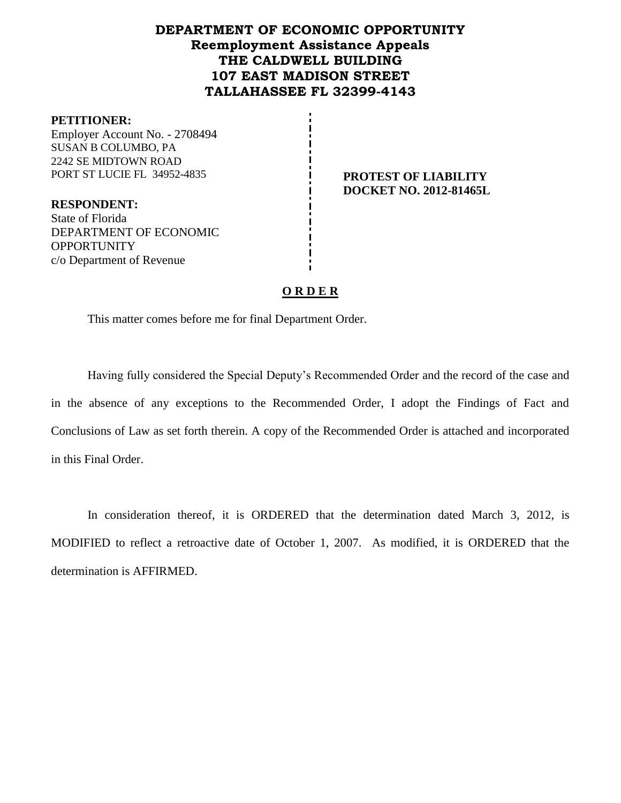# **DEPARTMENT OF ECONOMIC OPPORTUNITY Reemployment Assistance Appeals THE CALDWELL BUILDING 107 EAST MADISON STREET TALLAHASSEE FL 32399-4143**

#### **PETITIONER:**

Employer Account No. - 2708494 SUSAN B COLUMBO, PA 2242 SE MIDTOWN ROAD PORT ST LUCIE FL 34952-4835 **PROTEST OF LIABILITY** 

**DOCKET NO. 2012-81465L**

**RESPONDENT:** State of Florida DEPARTMENT OF ECONOMIC **OPPORTUNITY** c/o Department of Revenue

## **O R D E R**

This matter comes before me for final Department Order.

Having fully considered the Special Deputy's Recommended Order and the record of the case and in the absence of any exceptions to the Recommended Order, I adopt the Findings of Fact and Conclusions of Law as set forth therein. A copy of the Recommended Order is attached and incorporated in this Final Order.

In consideration thereof, it is ORDERED that the determination dated March 3, 2012, is MODIFIED to reflect a retroactive date of October 1, 2007. As modified, it is ORDERED that the determination is AFFIRMED.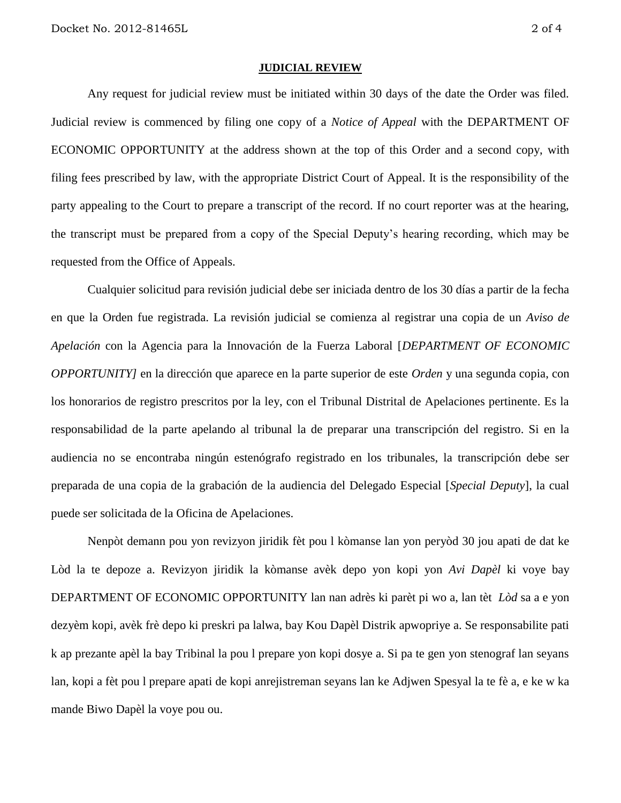#### **JUDICIAL REVIEW**

Any request for judicial review must be initiated within 30 days of the date the Order was filed. Judicial review is commenced by filing one copy of a *Notice of Appeal* with the DEPARTMENT OF ECONOMIC OPPORTUNITY at the address shown at the top of this Order and a second copy, with filing fees prescribed by law, with the appropriate District Court of Appeal. It is the responsibility of the party appealing to the Court to prepare a transcript of the record. If no court reporter was at the hearing, the transcript must be prepared from a copy of the Special Deputy's hearing recording, which may be requested from the Office of Appeals.

Cualquier solicitud para revisión judicial debe ser iniciada dentro de los 30 días a partir de la fecha en que la Orden fue registrada. La revisión judicial se comienza al registrar una copia de un *Aviso de Apelación* con la Agencia para la Innovación de la Fuerza Laboral [*DEPARTMENT OF ECONOMIC OPPORTUNITY]* en la dirección que aparece en la parte superior de este *Orden* y una segunda copia, con los honorarios de registro prescritos por la ley, con el Tribunal Distrital de Apelaciones pertinente. Es la responsabilidad de la parte apelando al tribunal la de preparar una transcripción del registro. Si en la audiencia no se encontraba ningún estenógrafo registrado en los tribunales, la transcripción debe ser preparada de una copia de la grabación de la audiencia del Delegado Especial [*Special Deputy*], la cual puede ser solicitada de la Oficina de Apelaciones.

Nenpòt demann pou yon revizyon jiridik fèt pou l kòmanse lan yon peryòd 30 jou apati de dat ke Lòd la te depoze a. Revizyon jiridik la kòmanse avèk depo yon kopi yon *Avi Dapèl* ki voye bay DEPARTMENT OF ECONOMIC OPPORTUNITY lan nan adrès ki parèt pi wo a, lan tèt *Lòd* sa a e yon dezyèm kopi, avèk frè depo ki preskri pa lalwa, bay Kou Dapèl Distrik apwopriye a. Se responsabilite pati k ap prezante apèl la bay Tribinal la pou l prepare yon kopi dosye a. Si pa te gen yon stenograf lan seyans lan, kopi a fèt pou l prepare apati de kopi anrejistreman seyans lan ke Adjwen Spesyal la te fè a, e ke w ka mande Biwo Dapèl la voye pou ou.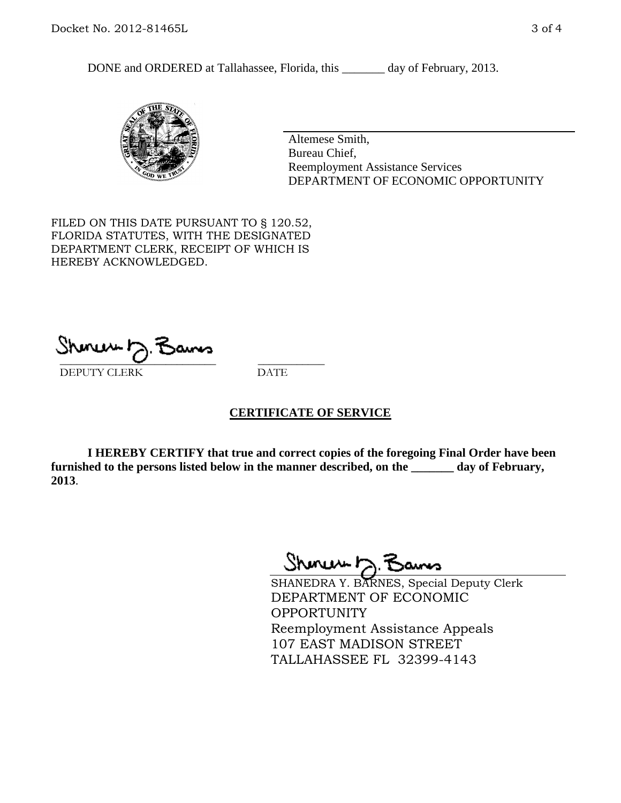DONE and ORDERED at Tallahassee, Florida, this \_\_\_\_\_\_\_ day of February, 2013.



Altemese Smith, Bureau Chief, Reemployment Assistance Services DEPARTMENT OF ECONOMIC OPPORTUNITY

FILED ON THIS DATE PURSUANT TO § 120.52, FLORIDA STATUTES, WITH THE DESIGNATED DEPARTMENT CLERK, RECEIPT OF WHICH IS HEREBY ACKNOWLEDGED.

 $\overline{\phantom{a}}$  ,  $\overline{\phantom{a}}$  ,  $\overline{\phantom{a}}$  ,  $\overline{\phantom{a}}$  ,  $\overline{\phantom{a}}$  ,  $\overline{\phantom{a}}$  ,  $\overline{\phantom{a}}$  ,  $\overline{\phantom{a}}$ DEPUTY CLERK DATE

## **CERTIFICATE OF SERVICE**

**I HEREBY CERTIFY that true and correct copies of the foregoing Final Order have been furnished to the persons listed below in the manner described, on the \_\_\_\_\_\_\_ day of February, 2013**.

Shoner D. Bans

SHANEDRA Y. BARNES, Special Deputy Clerk DEPARTMENT OF ECONOMIC OPPORTUNITY Reemployment Assistance Appeals 107 EAST MADISON STREET TALLAHASSEE FL 32399-4143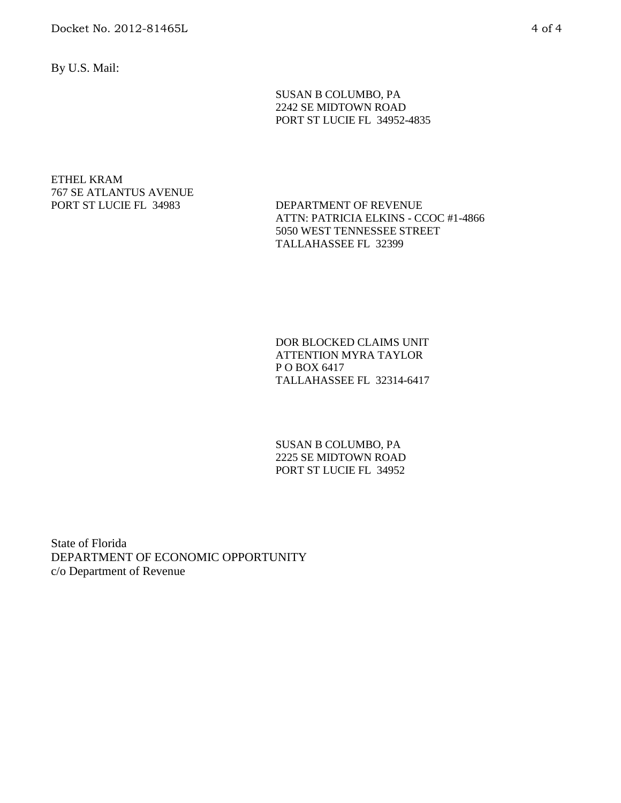By U.S. Mail:

SUSAN B COLUMBO, PA 2242 SE MIDTOWN ROAD PORT ST LUCIE FL 34952-4835

# ETHEL KRAM 767 SE ATLANTUS AVENUE

PORT ST LUCIE FL 34983 DEPARTMENT OF REVENUE ATTN: PATRICIA ELKINS - CCOC #1-4866 5050 WEST TENNESSEE STREET TALLAHASSEE FL 32399

> DOR BLOCKED CLAIMS UNIT ATTENTION MYRA TAYLOR P O BOX 6417 TALLAHASSEE FL 32314-6417

SUSAN B COLUMBO, PA 2225 SE MIDTOWN ROAD PORT ST LUCIE FL 34952

State of Florida DEPARTMENT OF ECONOMIC OPPORTUNITY c/o Department of Revenue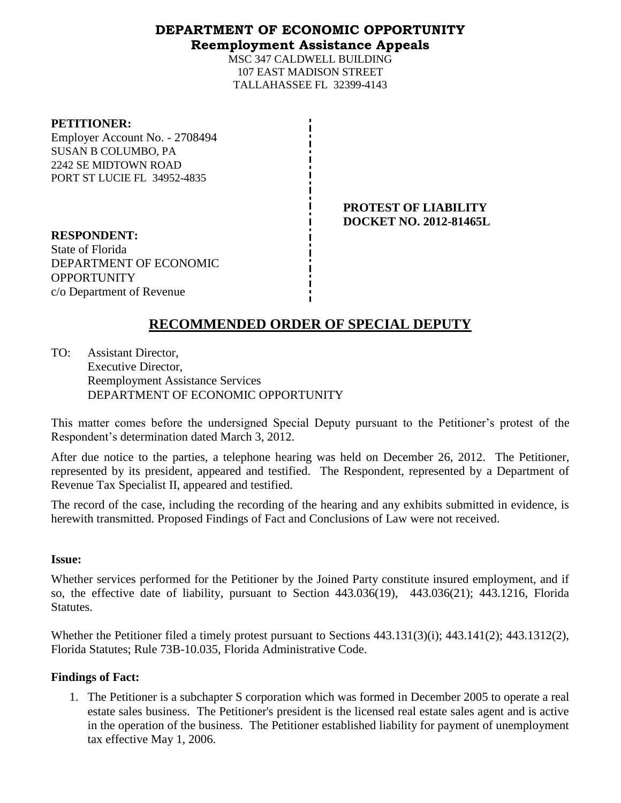# **DEPARTMENT OF ECONOMIC OPPORTUNITY Reemployment Assistance Appeals**

MSC 347 CALDWELL BUILDING 107 EAST MADISON STREET TALLAHASSEE FL 32399-4143

#### **PETITIONER:**

Employer Account No. - 2708494 SUSAN B COLUMBO, PA 2242 SE MIDTOWN ROAD PORT ST LUCIE FL 34952-4835

> **PROTEST OF LIABILITY DOCKET NO. 2012-81465L**

**RESPONDENT:** State of Florida DEPARTMENT OF ECONOMIC **OPPORTUNITY** c/o Department of Revenue

# **RECOMMENDED ORDER OF SPECIAL DEPUTY**

TO: Assistant Director, Executive Director, Reemployment Assistance Services DEPARTMENT OF ECONOMIC OPPORTUNITY

This matter comes before the undersigned Special Deputy pursuant to the Petitioner's protest of the Respondent's determination dated March 3, 2012.

After due notice to the parties, a telephone hearing was held on December 26, 2012. The Petitioner, represented by its president, appeared and testified. The Respondent, represented by a Department of Revenue Tax Specialist II, appeared and testified.

The record of the case, including the recording of the hearing and any exhibits submitted in evidence, is herewith transmitted. Proposed Findings of Fact and Conclusions of Law were not received.

## **Issue:**

Whether services performed for the Petitioner by the Joined Party constitute insured employment, and if so, the effective date of liability, pursuant to Section 443.036(19), 443.036(21); 443.1216, Florida Statutes.

Whether the Petitioner filed a timely protest pursuant to Sections 443.131(3)(i); 443.141(2); 443.1312(2), Florida Statutes; Rule 73B-10.035, Florida Administrative Code.

## **Findings of Fact:**

1. The Petitioner is a subchapter S corporation which was formed in December 2005 to operate a real estate sales business. The Petitioner's president is the licensed real estate sales agent and is active in the operation of the business. The Petitioner established liability for payment of unemployment tax effective May 1, 2006.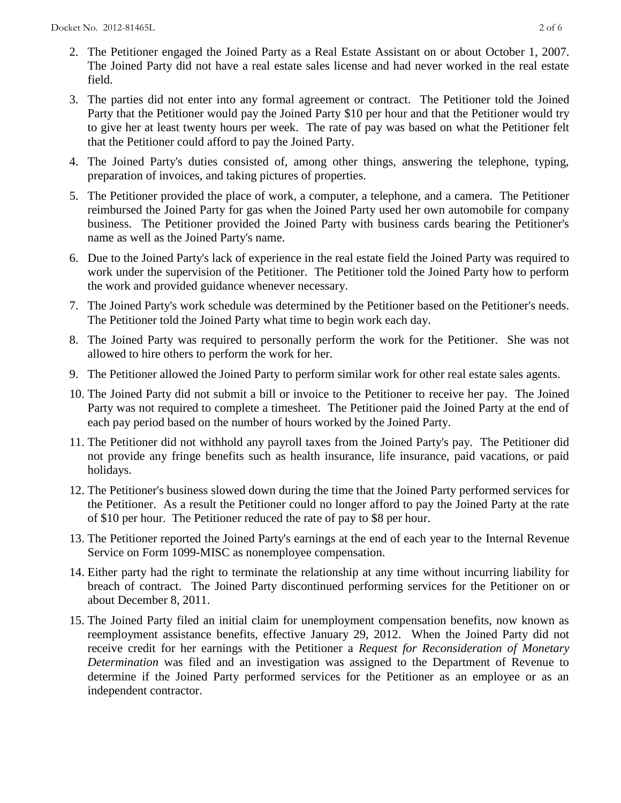- 2. The Petitioner engaged the Joined Party as a Real Estate Assistant on or about October 1, 2007. The Joined Party did not have a real estate sales license and had never worked in the real estate field.
- 3. The parties did not enter into any formal agreement or contract. The Petitioner told the Joined Party that the Petitioner would pay the Joined Party \$10 per hour and that the Petitioner would try to give her at least twenty hours per week. The rate of pay was based on what the Petitioner felt that the Petitioner could afford to pay the Joined Party.
- 4. The Joined Party's duties consisted of, among other things, answering the telephone, typing, preparation of invoices, and taking pictures of properties.
- 5. The Petitioner provided the place of work, a computer, a telephone, and a camera. The Petitioner reimbursed the Joined Party for gas when the Joined Party used her own automobile for company business. The Petitioner provided the Joined Party with business cards bearing the Petitioner's name as well as the Joined Party's name.
- 6. Due to the Joined Party's lack of experience in the real estate field the Joined Party was required to work under the supervision of the Petitioner. The Petitioner told the Joined Party how to perform the work and provided guidance whenever necessary.
- 7. The Joined Party's work schedule was determined by the Petitioner based on the Petitioner's needs. The Petitioner told the Joined Party what time to begin work each day.
- 8. The Joined Party was required to personally perform the work for the Petitioner. She was not allowed to hire others to perform the work for her.
- 9. The Petitioner allowed the Joined Party to perform similar work for other real estate sales agents.
- 10. The Joined Party did not submit a bill or invoice to the Petitioner to receive her pay. The Joined Party was not required to complete a timesheet. The Petitioner paid the Joined Party at the end of each pay period based on the number of hours worked by the Joined Party.
- 11. The Petitioner did not withhold any payroll taxes from the Joined Party's pay. The Petitioner did not provide any fringe benefits such as health insurance, life insurance, paid vacations, or paid holidays.
- 12. The Petitioner's business slowed down during the time that the Joined Party performed services for the Petitioner. As a result the Petitioner could no longer afford to pay the Joined Party at the rate of \$10 per hour. The Petitioner reduced the rate of pay to \$8 per hour.
- 13. The Petitioner reported the Joined Party's earnings at the end of each year to the Internal Revenue Service on Form 1099-MISC as nonemployee compensation.
- 14. Either party had the right to terminate the relationship at any time without incurring liability for breach of contract. The Joined Party discontinued performing services for the Petitioner on or about December 8, 2011.
- 15. The Joined Party filed an initial claim for unemployment compensation benefits, now known as reemployment assistance benefits, effective January 29, 2012. When the Joined Party did not receive credit for her earnings with the Petitioner a *Request for Reconsideration of Monetary Determination* was filed and an investigation was assigned to the Department of Revenue to determine if the Joined Party performed services for the Petitioner as an employee or as an independent contractor.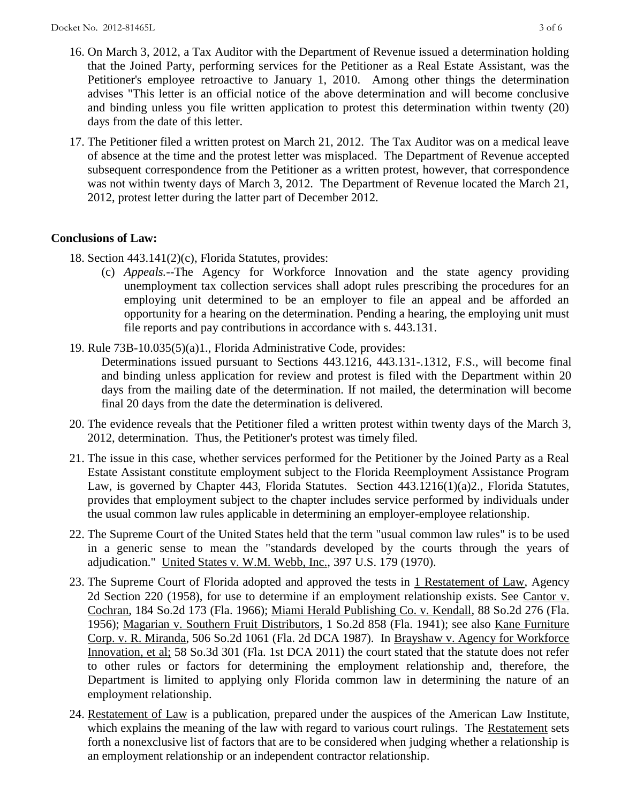- 16. On March 3, 2012, a Tax Auditor with the Department of Revenue issued a determination holding that the Joined Party, performing services for the Petitioner as a Real Estate Assistant, was the Petitioner's employee retroactive to January 1, 2010. Among other things the determination advises "This letter is an official notice of the above determination and will become conclusive and binding unless you file written application to protest this determination within twenty (20) days from the date of this letter.
- 17. The Petitioner filed a written protest on March 21, 2012. The Tax Auditor was on a medical leave of absence at the time and the protest letter was misplaced. The Department of Revenue accepted subsequent correspondence from the Petitioner as a written protest, however, that correspondence was not within twenty days of March 3, 2012. The Department of Revenue located the March 21, 2012, protest letter during the latter part of December 2012.

# **Conclusions of Law:**

- 18. Section 443.141(2)(c), Florida Statutes, provides:
	- (c) *Appeals.*--The Agency for Workforce Innovation and the state agency providing unemployment tax collection services shall adopt rules prescribing the procedures for an employing unit determined to be an employer to file an appeal and be afforded an opportunity for a hearing on the determination. Pending a hearing, the employing unit must file reports and pay contributions in accordance with s. 443.131.
- 19. Rule 73B-10.035(5)(a)1., Florida Administrative Code, provides:
	- Determinations issued pursuant to Sections 443.1216, 443.131-.1312, F.S., will become final and binding unless application for review and protest is filed with the Department within 20 days from the mailing date of the determination. If not mailed, the determination will become final 20 days from the date the determination is delivered.
- 20. The evidence reveals that the Petitioner filed a written protest within twenty days of the March 3, 2012, determination. Thus, the Petitioner's protest was timely filed.
- 21. The issue in this case, whether services performed for the Petitioner by the Joined Party as a Real Estate Assistant constitute employment subject to the Florida Reemployment Assistance Program Law, is governed by Chapter 443, Florida Statutes. Section 443.1216(1)(a)2., Florida Statutes, provides that employment subject to the chapter includes service performed by individuals under the usual common law rules applicable in determining an employer-employee relationship.
- 22. The Supreme Court of the United States held that the term "usual common law rules" is to be used in a generic sense to mean the "standards developed by the courts through the years of adjudication." United States v. W.M. Webb, Inc., 397 U.S. 179 (1970).
- 23. The Supreme Court of Florida adopted and approved the tests in 1 Restatement of Law, Agency 2d Section 220 (1958), for use to determine if an employment relationship exists. See Cantor v. Cochran, 184 So.2d 173 (Fla. 1966); Miami Herald Publishing Co. v. Kendall, 88 So.2d 276 (Fla. 1956); Magarian v. Southern Fruit Distributors, 1 So.2d 858 (Fla. 1941); see also Kane Furniture Corp. v. R. Miranda, 506 So.2d 1061 (Fla. 2d DCA 1987). In Brayshaw v. Agency for Workforce Innovation, et al; 58 So.3d 301 (Fla. 1st DCA 2011) the court stated that the statute does not refer to other rules or factors for determining the employment relationship and, therefore, the Department is limited to applying only Florida common law in determining the nature of an employment relationship.
- 24. Restatement of Law is a publication, prepared under the auspices of the American Law Institute, which explains the meaning of the law with regard to various court rulings. The Restatement sets forth a nonexclusive list of factors that are to be considered when judging whether a relationship is an employment relationship or an independent contractor relationship.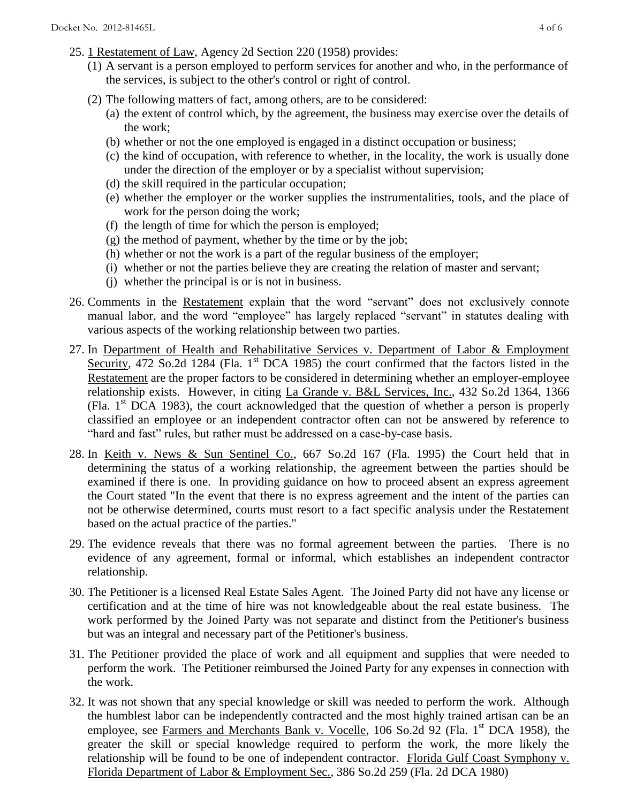- 25. 1 Restatement of Law, Agency 2d Section 220 (1958) provides:
	- (1) A servant is a person employed to perform services for another and who, in the performance of the services, is subject to the other's control or right of control.
	- (2) The following matters of fact, among others, are to be considered:
		- (a) the extent of control which, by the agreement, the business may exercise over the details of the work;
		- (b) whether or not the one employed is engaged in a distinct occupation or business;
		- (c) the kind of occupation, with reference to whether, in the locality, the work is usually done under the direction of the employer or by a specialist without supervision;
		- (d) the skill required in the particular occupation;
		- (e) whether the employer or the worker supplies the instrumentalities, tools, and the place of work for the person doing the work;
		- (f) the length of time for which the person is employed;
		- $(g)$  the method of payment, whether by the time or by the job;
		- (h) whether or not the work is a part of the regular business of the employer;
		- (i) whether or not the parties believe they are creating the relation of master and servant;
		- (j) whether the principal is or is not in business.
- 26. Comments in the Restatement explain that the word "servant" does not exclusively connote manual labor, and the word "employee" has largely replaced "servant" in statutes dealing with various aspects of the working relationship between two parties.
- 27. In Department of Health and Rehabilitative Services v. Department of Labor & Employment Security, 472 So.2d 1284 (Fla. 1<sup>st</sup> DCA 1985) the court confirmed that the factors listed in the Restatement are the proper factors to be considered in determining whether an employer-employee relationship exists. However, in citing La Grande v. B&L Services, Inc., 432 So.2d 1364, 1366 (Fla.  $1<sup>st</sup> DCA$  1983), the court acknowledged that the question of whether a person is properly classified an employee or an independent contractor often can not be answered by reference to "hard and fast" rules, but rather must be addressed on a case-by-case basis.
- 28. In Keith v. News & Sun Sentinel Co., 667 So.2d 167 (Fla. 1995) the Court held that in determining the status of a working relationship, the agreement between the parties should be examined if there is one. In providing guidance on how to proceed absent an express agreement the Court stated "In the event that there is no express agreement and the intent of the parties can not be otherwise determined, courts must resort to a fact specific analysis under the Restatement based on the actual practice of the parties."
- 29. The evidence reveals that there was no formal agreement between the parties. There is no evidence of any agreement, formal or informal, which establishes an independent contractor relationship.
- 30. The Petitioner is a licensed Real Estate Sales Agent. The Joined Party did not have any license or certification and at the time of hire was not knowledgeable about the real estate business. The work performed by the Joined Party was not separate and distinct from the Petitioner's business but was an integral and necessary part of the Petitioner's business.
- 31. The Petitioner provided the place of work and all equipment and supplies that were needed to perform the work. The Petitioner reimbursed the Joined Party for any expenses in connection with the work.
- 32. It was not shown that any special knowledge or skill was needed to perform the work. Although the humblest labor can be independently contracted and the most highly trained artisan can be an employee, see Farmers and Merchants Bank v. Vocelle, 106 So.2d 92 (Fla. 1<sup>st</sup> DCA 1958), the greater the skill or special knowledge required to perform the work, the more likely the relationship will be found to be one of independent contractor. Florida Gulf Coast Symphony v. Florida Department of Labor & Employment Sec., 386 So.2d 259 (Fla. 2d DCA 1980)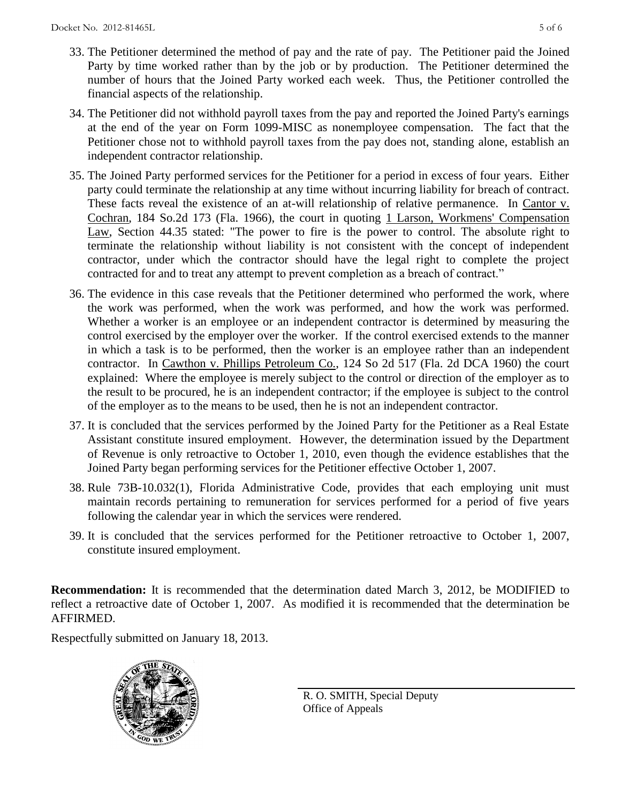- 33. The Petitioner determined the method of pay and the rate of pay. The Petitioner paid the Joined Party by time worked rather than by the job or by production. The Petitioner determined the number of hours that the Joined Party worked each week. Thus, the Petitioner controlled the financial aspects of the relationship.
- 34. The Petitioner did not withhold payroll taxes from the pay and reported the Joined Party's earnings at the end of the year on Form 1099-MISC as nonemployee compensation. The fact that the Petitioner chose not to withhold payroll taxes from the pay does not, standing alone, establish an independent contractor relationship.
- 35. The Joined Party performed services for the Petitioner for a period in excess of four years. Either party could terminate the relationship at any time without incurring liability for breach of contract. These facts reveal the existence of an at-will relationship of relative permanence. In Cantor v. Cochran, 184 So.2d 173 (Fla. 1966), the court in quoting 1 Larson, Workmens' Compensation Law, Section 44.35 stated: "The power to fire is the power to control. The absolute right to terminate the relationship without liability is not consistent with the concept of independent contractor, under which the contractor should have the legal right to complete the project contracted for and to treat any attempt to prevent completion as a breach of contract."
- 36. The evidence in this case reveals that the Petitioner determined who performed the work, where the work was performed, when the work was performed, and how the work was performed. Whether a worker is an employee or an independent contractor is determined by measuring the control exercised by the employer over the worker. If the control exercised extends to the manner in which a task is to be performed, then the worker is an employee rather than an independent contractor. In Cawthon v. Phillips Petroleum Co., 124 So 2d 517 (Fla. 2d DCA 1960) the court explained: Where the employee is merely subject to the control or direction of the employer as to the result to be procured, he is an independent contractor; if the employee is subject to the control of the employer as to the means to be used, then he is not an independent contractor.
- 37. It is concluded that the services performed by the Joined Party for the Petitioner as a Real Estate Assistant constitute insured employment. However, the determination issued by the Department of Revenue is only retroactive to October 1, 2010, even though the evidence establishes that the Joined Party began performing services for the Petitioner effective October 1, 2007.
- 38. Rule 73B-10.032(1), Florida Administrative Code, provides that each employing unit must maintain records pertaining to remuneration for services performed for a period of five years following the calendar year in which the services were rendered.
- 39. It is concluded that the services performed for the Petitioner retroactive to October 1, 2007, constitute insured employment.

**Recommendation:** It is recommended that the determination dated March 3, 2012, be MODIFIED to reflect a retroactive date of October 1, 2007. As modified it is recommended that the determination be AFFIRMED.

Respectfully submitted on January 18, 2013.